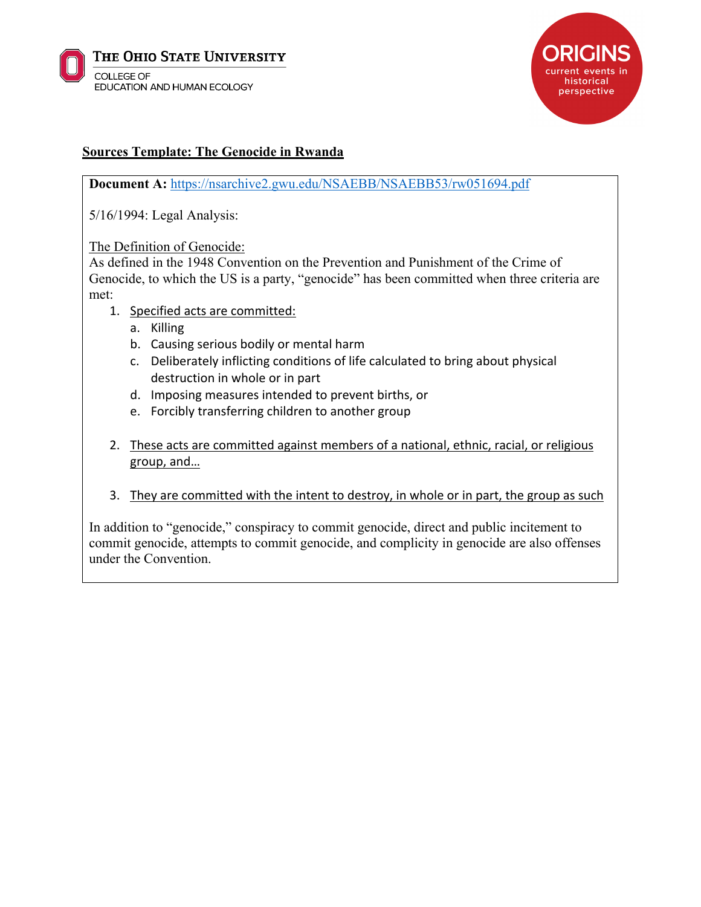



## **Sources Template: The Genocide in Rwanda**

**Document A:** https://nsarchive2.gwu.edu/NSAEBB/NSAEBB53/rw051694.pdf

5/16/1994: Legal Analysis:

The Definition of Genocide:

As defined in the 1948 Convention on the Prevention and Punishment of the Crime of Genocide, to which the US is a party, "genocide" has been committed when three criteria are met:

- 1. Specified acts are committed:
	- a. Killing
	- b. Causing serious bodily or mental harm
	- c. Deliberately inflicting conditions of life calculated to bring about physical destruction in whole or in part
	- d. Imposing measures intended to prevent births, or
	- e. Forcibly transferring children to another group
- 2. These acts are committed against members of a national, ethnic, racial, or religious group, and…
- 3. They are committed with the intent to destroy, in whole or in part, the group as such

In addition to "genocide," conspiracy to commit genocide, direct and public incitement to commit genocide, attempts to commit genocide, and complicity in genocide are also offenses under the Convention.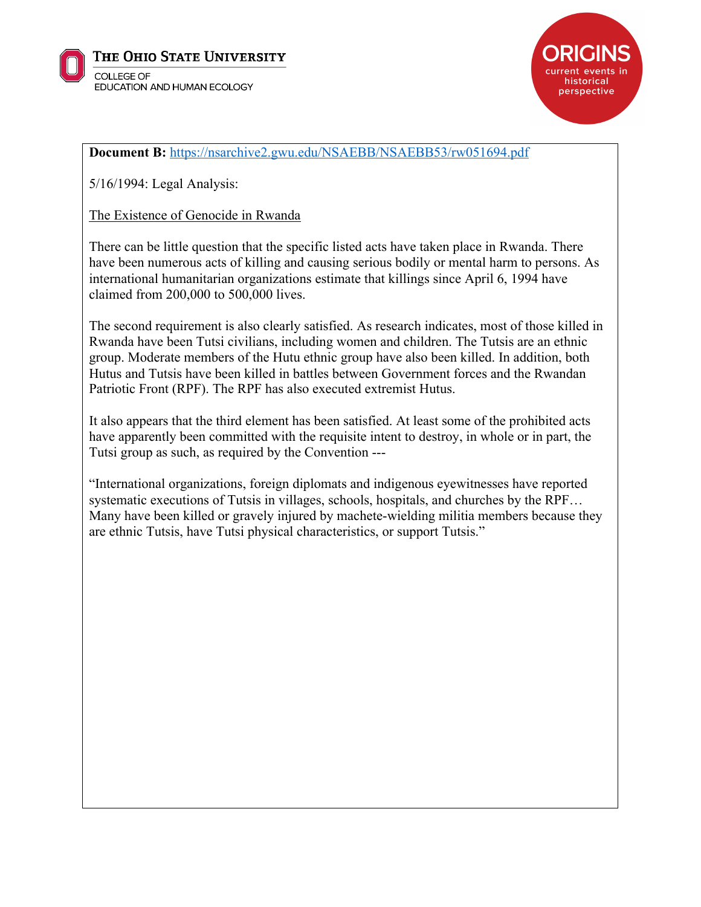



## **Document B:** https://nsarchive2.gwu.edu/NSAEBB/NSAEBB53/rw051694.pdf

5/16/1994: Legal Analysis:

The Existence of Genocide in Rwanda

There can be little question that the specific listed acts have taken place in Rwanda. There have been numerous acts of killing and causing serious bodily or mental harm to persons. As international humanitarian organizations estimate that killings since April 6, 1994 have claimed from 200,000 to 500,000 lives.

The second requirement is also clearly satisfied. As research indicates, most of those killed in Rwanda have been Tutsi civilians, including women and children. The Tutsis are an ethnic group. Moderate members of the Hutu ethnic group have also been killed. In addition, both Hutus and Tutsis have been killed in battles between Government forces and the Rwandan Patriotic Front (RPF). The RPF has also executed extremist Hutus.

It also appears that the third element has been satisfied. At least some of the prohibited acts have apparently been committed with the requisite intent to destroy, in whole or in part, the Tutsi group as such, as required by the Convention ---

"International organizations, foreign diplomats and indigenous eyewitnesses have reported systematic executions of Tutsis in villages, schools, hospitals, and churches by the RPF... Many have been killed or gravely injured by machete-wielding militia members because they are ethnic Tutsis, have Tutsi physical characteristics, or support Tutsis."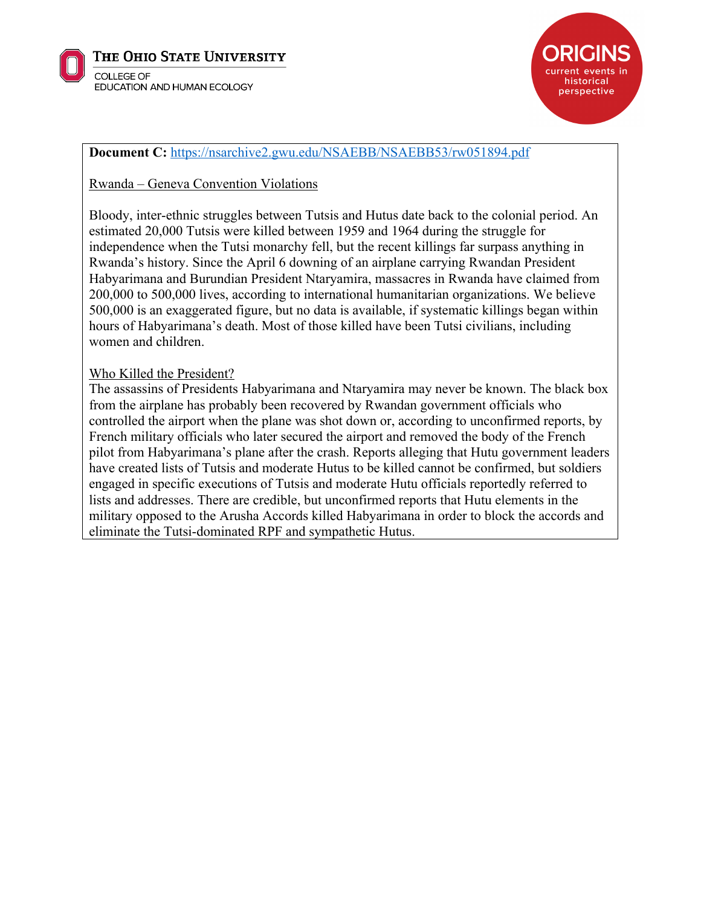

THE OHIO STATE UNIVERSITY

**COLLEGE OF** EDUCATION AND HUMAN ECOLOGY



## **Document C:** https://nsarchive2.gwu.edu/NSAEBB/NSAEBB53/rw051894.pdf

Rwanda – Geneva Convention Violations

Bloody, inter-ethnic struggles between Tutsis and Hutus date back to the colonial period. An estimated 20,000 Tutsis were killed between 1959 and 1964 during the struggle for independence when the Tutsi monarchy fell, but the recent killings far surpass anything in Rwanda's history. Since the April 6 downing of an airplane carrying Rwandan President Habyarimana and Burundian President Ntaryamira, massacres in Rwanda have claimed from 200,000 to 500,000 lives, according to international humanitarian organizations. We believe 500,000 is an exaggerated figure, but no data is available, if systematic killings began within hours of Habyarimana's death. Most of those killed have been Tutsi civilians, including women and children.

## Who Killed the President?

The assassins of Presidents Habyarimana and Ntaryamira may never be known. The black box from the airplane has probably been recovered by Rwandan government officials who controlled the airport when the plane was shot down or, according to unconfirmed reports, by French military officials who later secured the airport and removed the body of the French pilot from Habyarimana's plane after the crash. Reports alleging that Hutu government leaders have created lists of Tutsis and moderate Hutus to be killed cannot be confirmed, but soldiers engaged in specific executions of Tutsis and moderate Hutu officials reportedly referred to lists and addresses. There are credible, but unconfirmed reports that Hutu elements in the military opposed to the Arusha Accords killed Habyarimana in order to block the accords and eliminate the Tutsi-dominated RPF and sympathetic Hutus.